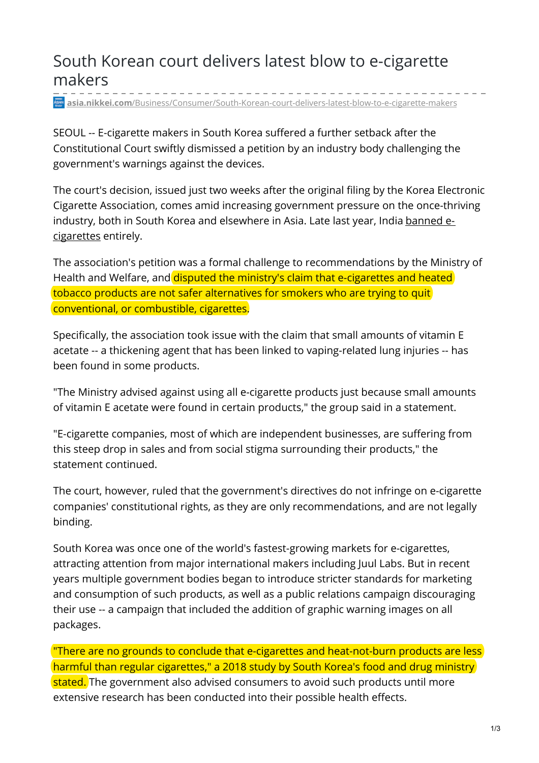## South Korean court delivers latest blow to e-cigarette makers

**asia.nikkei.com**[/Business/Consumer/South-Korean-court-delivers-latest-blow-to-e-cigarette-makers](https://asia.nikkei.com/Business/Consumer/South-Korean-court-delivers-latest-blow-to-e-cigarette-makers)

SEOUL -- E-cigarette makers in South Korea suffered a further setback after the Constitutional Court swiftly dismissed a petition by an industry body challenging the government's warnings against the devices.

The court's decision, issued just two weeks after the original filing by the Korea Electronic Cigarette Association, comes amid increasing government pressure on the once-thriving industry, both in South Korea and [elsewhere](https://asia.nikkei.com/Business/Business-trends/Indian-government-bans-fast-growing-e-cigarettes) in Asia. Late last year, India banned ecigarettes entirely.

The association's petition was a formal challenge to recommendations by the Ministry of Health and Welfare, and disputed the ministry's claim that e-cigarettes and heated tobacco products are not safer alternatives for smokers who are trying to quit conventional, or combustible, cigarettes.

Specifically, the association took issue with the claim that small amounts of vitamin E acetate -- a thickening agent that has been linked to vaping-related lung injuries -- has been found in some products.

"The Ministry advised against using all e-cigarette products just because small amounts of vitamin E acetate were found in certain products," the group said in a statement.

"E-cigarette companies, most of which are independent businesses, are suffering from this steep drop in sales and from social stigma surrounding their products," the statement continued.

The court, however, ruled that the government's directives do not infringe on e-cigarette companies' constitutional rights, as they are only recommendations, and are not legally binding.

South Korea was once one of the world's fastest-growing markets for e-cigarettes, attracting attention from major international makers including Juul Labs. But in recent years multiple government bodies began to introduce stricter standards for marketing and consumption of such products, as well as a public relations campaign discouraging their use -- a campaign that included the addition of graphic warning images on all packages.

"There are no grounds to conclude that e-cigarettes and heat-not-burn products are less harmful than regular cigarettes," a 2018 study by South Korea's food and drug ministry stated. The government also advised consumers to avoid such products until more extensive research has been conducted into their possible health effects.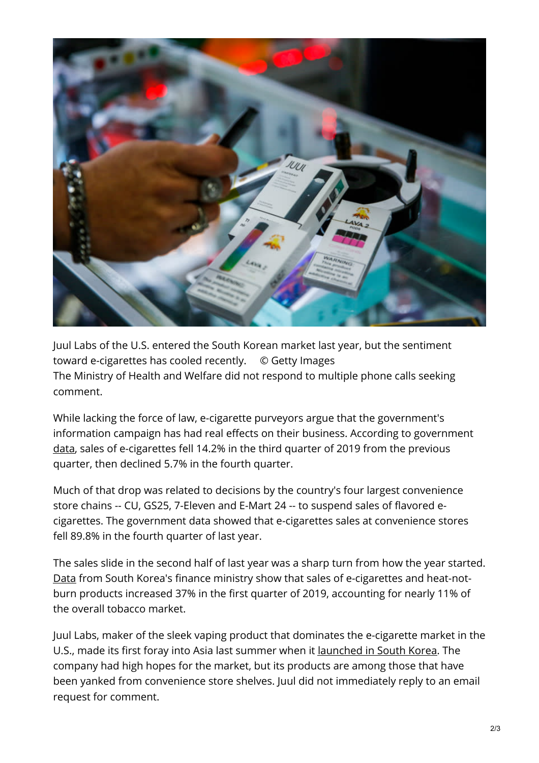

Juul Labs of the U.S. entered the South Korean market last year, but the sentiment toward e-cigarettes has cooled recently. © Getty Images The Ministry of Health and Welfare did not respond to multiple phone calls seeking comment.

While lacking the force of law, e-cigarette purveyors argue that the government's information campaign has had real effects on their business. According to government [data](http://www.moef.go.kr/com/synap/synapView.do;jsessionid=nKX7WvxXDYfRdbdNdmbCMTuF.node30?atchFileId=ATCH_000000000013015&fileSn=1), sales of e-cigarettes fell 14.2% in the third quarter of 2019 from the previous quarter, then declined 5.7% in the fourth quarter.

Much of that drop was related to decisions by the country's four largest convenience store chains -- CU, GS25, 7-Eleven and E-Mart 24 -- to suspend sales of flavored ecigarettes. The government data showed that e-cigarettes sales at convenience stores fell 89.8% in the fourth quarter of last year.

The sales slide in the second half of last year was a sharp turn from how the year started. [Data](https://www.moef.go.kr/nw/nes/detailNesDtaView.do?menuNo=4010100&searchNttId=MOSF_000000000027134&searchBbsId=MOSFBBS_000000000028) from South Korea's finance ministry show that sales of e-cigarettes and heat-notburn products increased 37% in the first quarter of 2019, accounting for nearly 11% of the overall tobacco market.

Juul Labs, maker of the sleek vaping product that dominates the e-cigarette market in the U.S., made its first foray into Asia last summer when it [launched](https://asia.nikkei.com/Business/Business-trends/Vaping-giant-targets-lucrative-Asian-market-with-South-Korean-launch) in South Korea. The company had high hopes for the market, but its products are among those that have been yanked from convenience store shelves. Juul did not immediately reply to an email request for comment.